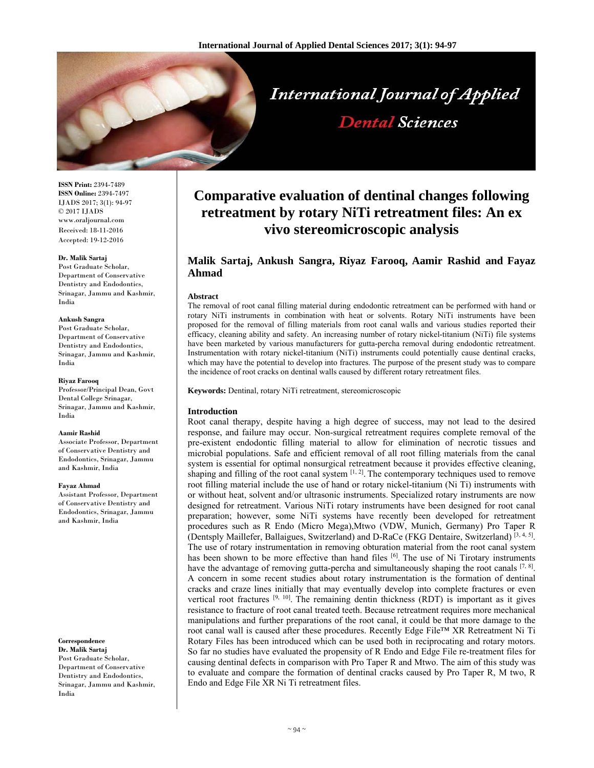

# **International Journal of Applied Dental Sciences**

**ISSN Print:** 2394-7489 **ISSN Online:** 2394-7497 IJADS 2017; 3(1): 94-97 © 2017 IJADS www.oraljournal.com Received: 18-11-2016 Accepted: 19-12-2016

#### **Dr. Malik Sartaj**

Post Graduate Scholar, Department of Conservative Dentistry and Endodontics, Srinagar, Jammu and Kashmir, India

#### **Ankush Sangra**

Post Graduate Scholar, Department of Conservative Dentistry and Endodontics, Srinagar, Jammu and Kashmir, India

#### **Riyaz Farooq**

Professor/Principal Dean, Govt Dental College Srinagar, Srinagar, Jammu and Kashmir, India

#### **Aamir Rashid**

Associate Professor, Department of Conservative Dentistry and Endodontics, Srinagar, Jammu and Kashmir, India

#### **Fayaz Ahmad**

Assistant Professor, Department of Conservative Dentistry and Endodontics, Srinagar, Jammu and Kashmir, India

#### **Correspondence Dr. Malik Sartaj**

Post Graduate Scholar, Department of Conservative Dentistry and Endodontics, Srinagar, Jammu and Kashmir, India

# **Comparative evaluation of dentinal changes following retreatment by rotary NiTi retreatment files: An ex vivo stereomicroscopic analysis**

# **Malik Sartaj, Ankush Sangra, Riyaz Farooq, Aamir Rashid and Fayaz Ahmad**

#### **Abstract**

The removal of root canal filling material during endodontic retreatment can be performed with hand or rotary NiTi instruments in combination with heat or solvents. Rotary NiTi instruments have been proposed for the removal of filling materials from root canal walls and various studies reported their efficacy, cleaning ability and safety. An increasing number of rotary nickel-titanium (NiTi) file systems have been marketed by various manufacturers for gutta-percha removal during endodontic retreatment. Instrumentation with rotary nickel-titanium (NiTi) instruments could potentially cause dentinal cracks, which may have the potential to develop into fractures. The purpose of the present study was to compare the incidence of root cracks on dentinal walls caused by different rotary retreatment files.

**Keywords:** Dentinal, rotary NiTi retreatment, stereomicroscopic

# **Introduction**

Root canal therapy, despite having a high degree of success, may not lead to the desired response, and failure may occur. Non-surgical retreatment requires complete removal of the pre-existent endodontic filling material to allow for elimination of necrotic tissues and microbial populations. Safe and efficient removal of all root filling materials from the canal system is essential for optimal nonsurgical retreatment because it provides effective cleaning, shaping and filling of the root canal system  $[1, 2]$ . The contemporary techniques used to remove root filling material include the use of hand or rotary nickel-titanium (Ni Ti) instruments with or without heat, solvent and/or ultrasonic instruments. Specialized rotary instruments are now designed for retreatment. Various NiTi rotary instruments have been designed for root canal preparation; however, some NiTi systems have recently been developed for retreatment procedures such as R Endo (Micro Mega),Mtwo (VDW, Munich, Germany) Pro Taper R (Dentsply Maillefer, Ballaigues, Switzerland) and D-RaCe (FKG Dentaire, Switzerland) [3, 4, 5]. The use of rotary instrumentation in removing obturation material from the root canal system has been shown to be more effective than hand files  $[6]$ . The use of Ni Tirotary instruments have the advantage of removing gutta-percha and simultaneously shaping the root canals  $[7, 8]$ . A concern in some recent studies about rotary instrumentation is the formation of dentinal cracks and craze lines initially that may eventually develop into complete fractures or even vertical root fractures  $[9, 10]$ . The remaining dentin thickness (RDT) is important as it gives resistance to fracture of root canal treated teeth. Because retreatment requires more mechanical manipulations and further preparations of the root canal, it could be that more damage to the root canal wall is caused after these procedures. Recently Edge File™ XR Retreatment Ni Ti Rotary Files has been introduced which can be used both in reciprocating and rotary motors. So far no studies have evaluated the propensity of R Endo and Edge File re-treatment files for causing dentinal defects in comparison with Pro Taper R and Mtwo. The aim of this study was to evaluate and compare the formation of dentinal cracks caused by Pro Taper R, M two, R Endo and Edge File XR Ni Ti retreatment files.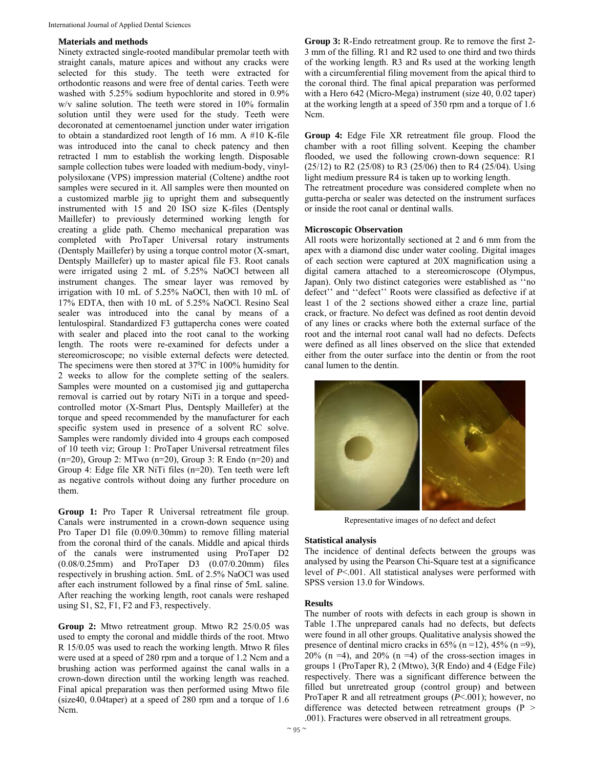# **Materials and methods**

Ninety extracted single-rooted mandibular premolar teeth with straight canals, mature apices and without any cracks were selected for this study. The teeth were extracted for orthodontic reasons and were free of dental caries. Teeth were washed with 5.25% sodium hypochlorite and stored in 0.9% w/v saline solution. The teeth were stored in 10% formalin solution until they were used for the study. Teeth were decoronated at cementoenamel junction under water irrigation to obtain a standardized root length of 16 mm. A #10 K-file was introduced into the canal to check patency and then retracted 1 mm to establish the working length. Disposable sample collection tubes were loaded with medium-body, vinylpolysiloxane (VPS) impression material (Coltene) andthe root samples were secured in it. All samples were then mounted on a customized marble jig to upright them and subsequently instrumented with 15 and 20 ISO size K-files (Dentsply Maillefer) to previously determined working length for creating a glide path. Chemo mechanical preparation was completed with ProTaper Universal rotary instruments (Dentsply Maillefer) by using a torque control motor (X-smart, Dentsply Maillefer) up to master apical file F3. Root canals were irrigated using 2 mL of 5.25% NaOCl between all instrument changes. The smear layer was removed by irrigation with 10 mL of 5.25% NaOCl, then with 10 mL of 17% EDTA, then with 10 mL of 5.25% NaOCl. Resino Seal sealer was introduced into the canal by means of a lentulospiral. Standardized F3 guttapercha cones were coated with sealer and placed into the root canal to the working length. The roots were re-examined for defects under a stereomicroscope; no visible external defects were detected. The specimens were then stored at  $37^{\circ}$ C in 100% humidity for 2 weeks to allow for the complete setting of the sealers. Samples were mounted on a customised jig and guttapercha removal is carried out by rotary NiTi in a torque and speedcontrolled motor (X-Smart Plus, Dentsply Maillefer) at the torque and speed recommended by the manufacturer for each specific system used in presence of a solvent RC solve. Samples were randomly divided into 4 groups each composed of 10 teeth viz; Group 1: ProTaper Universal retreatment files (n=20), Group 2: MTwo (n=20), Group 3: R Endo (n=20) and Group 4: Edge file XR NiTi files (n=20). Ten teeth were left as negative controls without doing any further procedure on them.

**Group 1:** Pro Taper R Universal retreatment file group. Canals were instrumented in a crown-down sequence using Pro Taper D1 file (0.09/0.30mm) to remove filling material from the coronal third of the canals. Middle and apical thirds of the canals were instrumented using ProTaper D2 (0.08/0.25mm) and ProTaper D3 (0.07/0.20mm) files respectively in brushing action. 5mL of 2.5% NaOCl was used after each instrument followed by a final rinse of 5mL saline. After reaching the working length, root canals were reshaped using S1, S2, F1, F2 and F3, respectively.

**Group 2:** Mtwo retreatment group. Mtwo R2 25/0.05 was used to empty the coronal and middle thirds of the root. Mtwo R 15/0.05 was used to reach the working length. Mtwo R files were used at a speed of 280 rpm and a torque of 1.2 Ncm and a brushing action was performed against the canal walls in a crown-down direction until the working length was reached. Final apical preparation was then performed using Mtwo file (size40, 0.04taper) at a speed of 280 rpm and a torque of 1.6 Ncm.

**Group 3:** R-Endo retreatment group. Re to remove the first 2- 3 mm of the filling. R1 and R2 used to one third and two thirds of the working length. R3 and Rs used at the working length with a circumferential filing movement from the apical third to the coronal third. The final apical preparation was performed with a Hero 642 (Micro-Mega) instrument (size 40, 0.02 taper) at the working length at a speed of 350 rpm and a torque of 1.6 Ncm.

**Group 4:** Edge File XR retreatment file group. Flood the chamber with a root filling solvent. Keeping the chamber flooded, we used the following crown-down sequence: R1 (25/12) to R2 (25/08) to R3 (25/06) then to R4 (25/04). Using light medium pressure R4 is taken up to working length.

The retreatment procedure was considered complete when no gutta-percha or sealer was detected on the instrument surfaces or inside the root canal or dentinal walls.

# **Microscopic Observation**

All roots were horizontally sectioned at 2 and 6 mm from the apex with a diamond disc under water cooling. Digital images of each section were captured at 20X magnification using a digital camera attached to a stereomicroscope (Olympus, Japan). Only two distinct categories were established as ''no defect'' and ''defect'' Roots were classified as defective if at least 1 of the 2 sections showed either a craze line, partial crack, or fracture. No defect was defined as root dentin devoid of any lines or cracks where both the external surface of the root and the internal root canal wall had no defects. Defects were defined as all lines observed on the slice that extended either from the outer surface into the dentin or from the root canal lumen to the dentin.



Representative images of no defect and defect

### **Statistical analysis**

The incidence of dentinal defects between the groups was analysed by using the Pearson Chi-Square test at a significance level of *P*<.001. All statistical analyses were performed with SPSS version 13.0 for Windows.

#### **Results**

The number of roots with defects in each group is shown in Table 1.The unprepared canals had no defects, but defects were found in all other groups. Qualitative analysis showed the presence of dentinal micro cracks in  $65\%$  (n =12),  $45\%$  (n =9), 20% (n =4), and 20% (n =4) of the cross-section images in groups 1 (ProTaper R), 2 (Mtwo), 3(R Endo) and 4 (Edge File) respectively. There was a significant difference between the filled but unretreated group (control group) and between ProTaper R and all retreatment groups (*P*<.001); however, no difference was detected between retreatment groups  $(P >$ .001). Fractures were observed in all retreatment groups.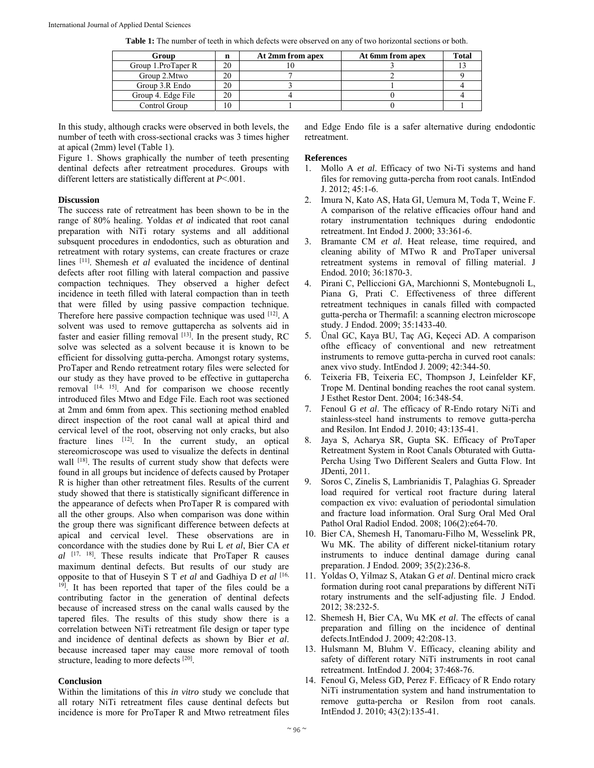**Table 1:** The number of teeth in which defects were observed on any of two horizontal sections or both.

| Group              | n  | At 2mm from apex | At 6mm from apex | <b>Total</b> |
|--------------------|----|------------------|------------------|--------------|
| Group 1.ProTaper R | 20 |                  |                  |              |
| Group 2.Mtwo       | 20 |                  |                  |              |
| Group 3.R Endo     | 20 |                  |                  |              |
| Group 4. Edge File | 20 |                  |                  |              |
| Control Group      | 10 |                  |                  |              |

In this study, although cracks were observed in both levels, the number of teeth with cross-sectional cracks was 3 times higher at apical (2mm) level (Table 1).

Figure 1. Shows graphically the number of teeth presenting dentinal defects after retreatment procedures. Groups with different letters are statistically different at *P*<.001.

# **Discussion**

The success rate of retreatment has been shown to be in the range of 80% healing. Yoldas *et al* indicated that root canal preparation with NiTi rotary systems and all additional subsquent procedures in endodontics, such as obturation and retreatment with rotary systems, can create fractures or craze lines <sup>[11]</sup>. Shemesh *et al* evaluated the incidence of dentinal defects after root filling with lateral compaction and passive compaction techniques. They observed a higher defect incidence in teeth filled with lateral compaction than in teeth that were filled by using passive compaction technique. Therefore here passive compaction technique was used [12]. A solvent was used to remove guttapercha as solvents aid in faster and easier filling removal  $[13]$ . In the present study, RC solve was selected as a solvent because it is known to be efficient for dissolving gutta-percha. Amongst rotary systems, ProTaper and Rendo retreatment rotary files were selected for our study as they have proved to be effective in guttapercha removal [14, 15]. And for comparison we choose recently introduced files Mtwo and Edge File. Each root was sectioned at 2mm and 6mm from apex. This sectioning method enabled direct inspection of the root canal wall at apical third and cervical level of the root, observing not only cracks, but also fracture lines [12]. In the current study, an optical stereomicroscope was used to visualize the defects in dentinal wall <sup>[18]</sup>. The results of current study show that defects were found in all groups but incidence of defects caused by Protaper R is higher than other retreatment files. Results of the current study showed that there is statistically significant difference in the appearance of defects when ProTaper R is compared with all the other groups. Also when comparison was done within the group there was significant difference between defects at apical and cervical level. These observations are in concordance with the studies done by Rui L *et al*, Bier CA *et al* [17, 18]. These results indicate that ProTaper R causes maximum dentinal defects. But results of our study are opposite to that of Huseyin S T *et al* and Gadhiya D *et al* [16, <sup>19]</sup>. It has been reported that taper of the files could be a contributing factor in the generation of dentinal defects because of increased stress on the canal walls caused by the tapered files. The results of this study show there is a correlation between NiTi retreatment file design or taper type and incidence of dentinal defects as shown by Bier *et al*. because increased taper may cause more removal of tooth structure, leading to more defects [20].

# **Conclusion**

Within the limitations of this *in vitro* study we conclude that all rotary NiTi retreatment files cause dentinal defects but incidence is more for ProTaper R and Mtwo retreatment files

and Edge Endo file is a safer alternative during endodontic retreatment.

# **References**

- 1. Mollo A *et al*. Efficacy of two Ni-Ti systems and hand files for removing gutta-percha from root canals. IntEndod J. 2012; 45:1-6.
- 2. Imura N, Kato AS, Hata GI, Uemura M, Toda T, Weine F. A comparison of the relative efficacies offour hand and rotary instrumentation techniques during endodontic retreatment. Int Endod J. 2000; 33:361-6.
- 3. Bramante CM *et al*. Heat release, time required, and cleaning ability of MTwo R and ProTaper universal retreatment systems in removal of filling material. J Endod. 2010; 36:1870-3.
- 4. Pirani C, Pelliccioni GA, Marchionni S, Montebugnoli L, Piana G, Prati C. Effectiveness of three different retreatment techniques in canals filled with compacted gutta-percha or Thermafil: a scanning electron microscope study. J Endod. 2009; 35:1433-40.
- 5. Ünal GC, Kaya BU, Taç AG, Keçeci AD. A comparison ofthe efficacy of conventional and new retreatment instruments to remove gutta-percha in curved root canals: anex vivo study. IntEndod J. 2009; 42:344-50.
- 6. Teixeria FB, Teixeria EC, Thompson J, Leinfelder KF, Trope M. Dentinal bonding reaches the root canal system. J Esthet Restor Dent. 2004; 16:348-54.
- 7. Fenoul G *et al*. The efficacy of R-Endo rotary NiTi and stainless-steel hand instruments to remove gutta-percha and Resilon. Int Endod J. 2010; 43:135-41.
- 8. Jaya S, Acharya SR, Gupta SK. Efficacy of ProTaper Retreatment System in Root Canals Obturated with Gutta-Percha Using Two Different Sealers and Gutta Flow. Int JDenti, 2011.
- 9. Soros C, Zinelis S, Lambrianidis T, Palaghias G. Spreader load required for vertical root fracture during lateral compaction ex vivo: evaluation of periodontal simulation and fracture load information. Oral Surg Oral Med Oral Pathol Oral Radiol Endod. 2008; 106(2):e64-70.
- 10. Bier CA, Shemesh H, Tanomaru-Filho M, Wesselink PR, Wu MK. The ability of different nickel-titanium rotary instruments to induce dentinal damage during canal preparation. J Endod. 2009; 35(2):236-8.
- 11. Yoldas O, Yilmaz S, Atakan G *et al*. Dentinal micro crack formation during root canal preparations by different NiTi rotary instruments and the self-adjusting file. J Endod. 2012; 38:232-5.
- 12. Shemesh H, Bier CA, Wu MK *et al*. The effects of canal preparation and filling on the incidence of dentinal defects.IntEndod J. 2009; 42:208-13.
- 13. Hulsmann M, Bluhm V. Efficacy, cleaning ability and safety of different rotary NiTi instruments in root canal retreatment. IntEndod J. 2004; 37:468-76.
- 14. Fenoul G, Meless GD, Perez F. Efficacy of R Endo rotary NiTi instrumentation system and hand instrumentation to remove gutta-percha or Resilon from root canals. IntEndod J. 2010; 43(2):135-41.